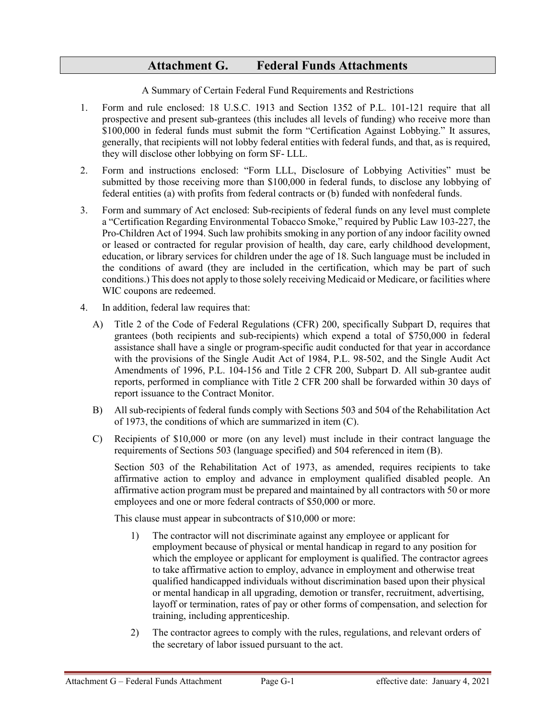# **Attachment G. Federal Funds Attachments**

A Summary of Certain Federal Fund Requirements and Restrictions

- 1. Form and rule enclosed: 18 U.S.C. 1913 and Section 1352 of P.L. 101-121 require that all prospective and present sub-grantees (this includes all levels of funding) who receive more than \$100,000 in federal funds must submit the form "Certification Against Lobbying." It assures, generally, that recipients will not lobby federal entities with federal funds, and that, as is required, they will disclose other lobbying on form SF- LLL.
- 2. Form and instructions enclosed: "Form LLL, Disclosure of Lobbying Activities" must be submitted by those receiving more than \$100,000 in federal funds, to disclose any lobbying of federal entities (a) with profits from federal contracts or (b) funded with nonfederal funds.
- 3. Form and summary of Act enclosed: Sub-recipients of federal funds on any level must complete a "Certification Regarding Environmental Tobacco Smoke," required by Public Law 103-227, the Pro-Children Act of 1994. Such law prohibits smoking in any portion of any indoor facility owned or leased or contracted for regular provision of health, day care, early childhood development, education, or library services for children under the age of 18. Such language must be included in the conditions of award (they are included in the certification, which may be part of such conditions.) This does not apply to those solely receiving Medicaid or Medicare, or facilities where WIC coupons are redeemed.
- 4. In addition, federal law requires that:
	- A) Title 2 of the Code of Federal Regulations (CFR) 200, specifically Subpart D, requires that grantees (both recipients and sub-recipients) which expend a total of \$750,000 in federal assistance shall have a single or program-specific audit conducted for that year in accordance with the provisions of the Single Audit Act of 1984, P.L. 98-502, and the Single Audit Act Amendments of 1996, P.L. 104-156 and Title 2 CFR 200, Subpart D. All sub-grantee audit reports, performed in compliance with Title 2 CFR 200 shall be forwarded within 30 days of report issuance to the Contract Monitor.
	- B) All sub-recipients of federal funds comply with Sections 503 and 504 of the Rehabilitation Act of 1973, the conditions of which are summarized in item (C).
	- C) Recipients of \$10,000 or more (on any level) must include in their contract language the requirements of Sections 503 (language specified) and 504 referenced in item (B).

Section 503 of the Rehabilitation Act of 1973, as amended, requires recipients to take affirmative action to employ and advance in employment qualified disabled people. An affirmative action program must be prepared and maintained by all contractors with 50 or more employees and one or more federal contracts of \$50,000 or more.

This clause must appear in subcontracts of \$10,000 or more:

- 1) The contractor will not discriminate against any employee or applicant for employment because of physical or mental handicap in regard to any position for which the employee or applicant for employment is qualified. The contractor agrees to take affirmative action to employ, advance in employment and otherwise treat qualified handicapped individuals without discrimination based upon their physical or mental handicap in all upgrading, demotion or transfer, recruitment, advertising, layoff or termination, rates of pay or other forms of compensation, and selection for training, including apprenticeship.
- 2) The contractor agrees to comply with the rules, regulations, and relevant orders of the secretary of labor issued pursuant to the act.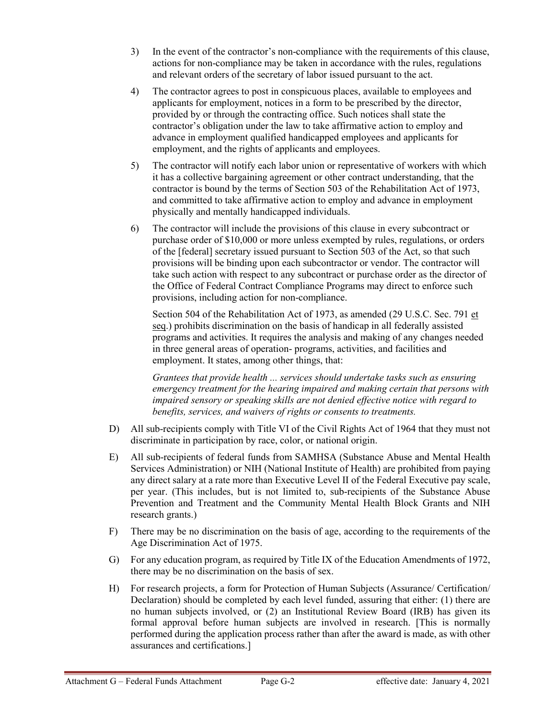- 3) In the event of the contractor's non-compliance with the requirements of this clause, actions for non-compliance may be taken in accordance with the rules, regulations and relevant orders of the secretary of labor issued pursuant to the act.
- 4) The contractor agrees to post in conspicuous places, available to employees and applicants for employment, notices in a form to be prescribed by the director, provided by or through the contracting office. Such notices shall state the contractor's obligation under the law to take affirmative action to employ and advance in employment qualified handicapped employees and applicants for employment, and the rights of applicants and employees.
- 5) The contractor will notify each labor union or representative of workers with which it has a collective bargaining agreement or other contract understanding, that the contractor is bound by the terms of Section 503 of the Rehabilitation Act of 1973, and committed to take affirmative action to employ and advance in employment physically and mentally handicapped individuals.
- 6) The contractor will include the provisions of this clause in every subcontract or purchase order of \$10,000 or more unless exempted by rules, regulations, or orders of the [federal] secretary issued pursuant to Section 503 of the Act, so that such provisions will be binding upon each subcontractor or vendor. The contractor will take such action with respect to any subcontract or purchase order as the director of the Office of Federal Contract Compliance Programs may direct to enforce such provisions, including action for non-compliance.

Section 504 of the Rehabilitation Act of 1973, as amended (29 U.S.C. Sec. 791 et seq.) prohibits discrimination on the basis of handicap in all federally assisted programs and activities. It requires the analysis and making of any changes needed in three general areas of operation- programs, activities, and facilities and employment. It states, among other things, that:

*Grantees that provide health ... services should undertake tasks such as ensuring emergency treatment for the hearing impaired and making certain that persons with impaired sensory or speaking skills are not denied effective notice with regard to benefits, services, and waivers of rights or consents to treatments.*

- D) All sub-recipients comply with Title VI of the Civil Rights Act of 1964 that they must not discriminate in participation by race, color, or national origin.
- E) All sub-recipients of federal funds from SAMHSA (Substance Abuse and Mental Health Services Administration) or NIH (National Institute of Health) are prohibited from paying any direct salary at a rate more than Executive Level II of the Federal Executive pay scale, per year. (This includes, but is not limited to, sub-recipients of the Substance Abuse Prevention and Treatment and the Community Mental Health Block Grants and NIH research grants.)
- F) There may be no discrimination on the basis of age, according to the requirements of the Age Discrimination Act of 1975.
- G) For any education program, as required by Title IX of the Education Amendments of 1972, there may be no discrimination on the basis of sex.
- H) For research projects, a form for Protection of Human Subjects (Assurance/ Certification/ Declaration) should be completed by each level funded, assuring that either: (1) there are no human subjects involved, or (2) an Institutional Review Board (IRB) has given its formal approval before human subjects are involved in research. [This is normally performed during the application process rather than after the award is made, as with other assurances and certifications.]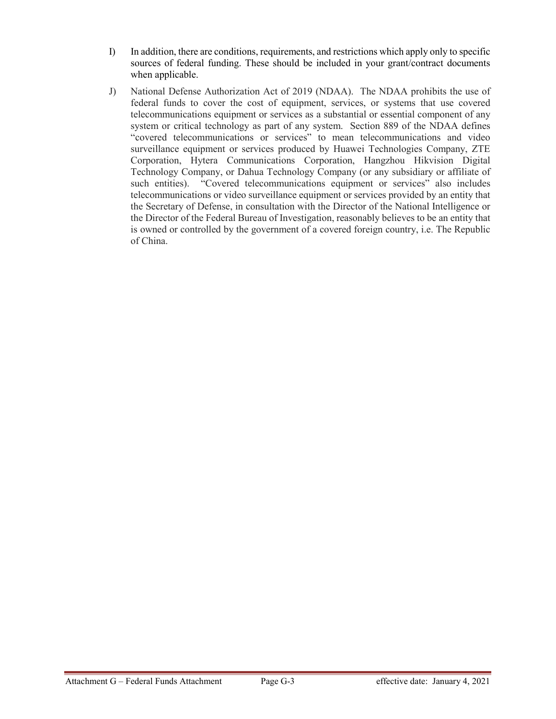- I) In addition, there are conditions, requirements, and restrictions which apply only to specific sources of federal funding. These should be included in your grant/contract documents when applicable.
- J) National Defense Authorization Act of 2019 (NDAA). The NDAA prohibits the use of federal funds to cover the cost of equipment, services, or systems that use covered telecommunications equipment or services as a substantial or essential component of any system or critical technology as part of any system. Section 889 of the NDAA defines "covered telecommunications or services" to mean telecommunications and video surveillance equipment or services produced by Huawei Technologies Company, ZTE Corporation, Hytera Communications Corporation, Hangzhou Hikvision Digital Technology Company, or Dahua Technology Company (or any subsidiary or affiliate of such entities). "Covered telecommunications equipment or services" also includes telecommunications or video surveillance equipment or services provided by an entity that the Secretary of Defense, in consultation with the Director of the National Intelligence or the Director of the Federal Bureau of Investigation, reasonably believes to be an entity that is owned or controlled by the government of a covered foreign country, i.e. The Republic of China.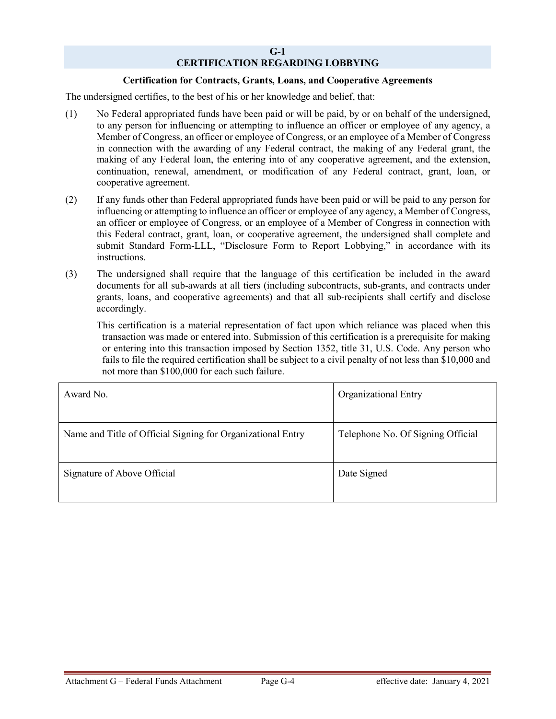#### **G-1 CERTIFICATION REGARDING LOBBYING**

## **Certification for Contracts, Grants, Loans, and Cooperative Agreements**

The undersigned certifies, to the best of his or her knowledge and belief, that:

- (1) No Federal appropriated funds have been paid or will be paid, by or on behalf of the undersigned, to any person for influencing or attempting to influence an officer or employee of any agency, a Member of Congress, an officer or employee of Congress, or an employee of a Member of Congress in connection with the awarding of any Federal contract, the making of any Federal grant, the making of any Federal loan, the entering into of any cooperative agreement, and the extension, continuation, renewal, amendment, or modification of any Federal contract, grant, loan, or cooperative agreement.
- (2) If any funds other than Federal appropriated funds have been paid or will be paid to any person for influencing or attempting to influence an officer or employee of any agency, a Member of Congress, an officer or employee of Congress, or an employee of a Member of Congress in connection with this Federal contract, grant, loan, or cooperative agreement, the undersigned shall complete and submit Standard Form-LLL, "Disclosure Form to Report Lobbying," in accordance with its instructions.
- (3) The undersigned shall require that the language of this certification be included in the award documents for all sub-awards at all tiers (including subcontracts, sub-grants, and contracts under grants, loans, and cooperative agreements) and that all sub-recipients shall certify and disclose accordingly.

This certification is a material representation of fact upon which reliance was placed when this transaction was made or entered into. Submission of this certification is a prerequisite for making or entering into this transaction imposed by Section 1352, title 31, U.S. Code. Any person who fails to file the required certification shall be subject to a civil penalty of not less than \$10,000 and not more than \$100,000 for each such failure.

| Award No.                                                   | Organizational Entry              |
|-------------------------------------------------------------|-----------------------------------|
| Name and Title of Official Signing for Organizational Entry | Telephone No. Of Signing Official |
| Signature of Above Official                                 | Date Signed                       |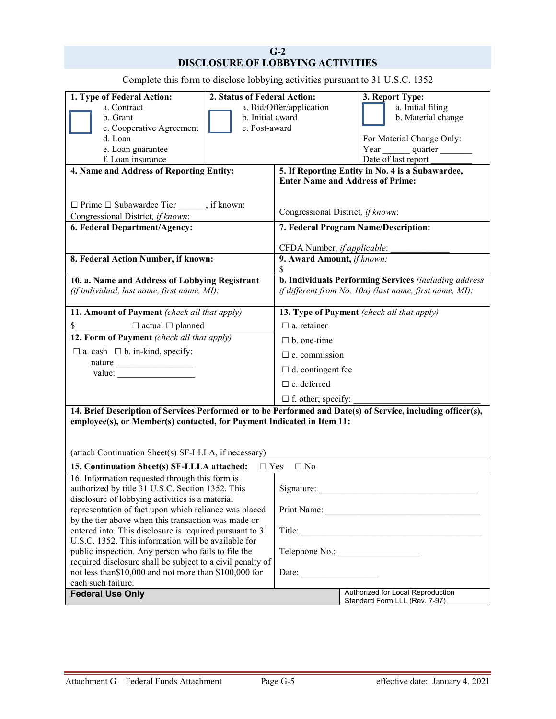| $G-2$<br><b>DISCLOSURE OF LOBBYING ACTIVITIES</b>                                                                                                                                                           |                                                           |                                                                                                                                                                                                                            |  |
|-------------------------------------------------------------------------------------------------------------------------------------------------------------------------------------------------------------|-----------------------------------------------------------|----------------------------------------------------------------------------------------------------------------------------------------------------------------------------------------------------------------------------|--|
| Complete this form to disclose lobbying activities pursuant to 31 U.S.C. 1352                                                                                                                               |                                                           |                                                                                                                                                                                                                            |  |
| 1. Type of Federal Action:<br>2. Status of Federal Action:<br>a. Contract<br>b. Initial award<br>b. Grant<br>c. Cooperative Agreement<br>c. Post-award<br>d. Loan<br>e. Loan guarantee<br>f. Loan insurance | a. Bid/Offer/application                                  | 3. Report Type:<br>a. Initial filing<br>b. Material change<br>For Material Change Only:<br>quarter $\frac{1}{\sqrt{1-\frac{1}{2}}\sqrt{1-\frac{1}{2}}\left(\frac{1}{2}-\frac{1}{2}\right)}$<br>Year<br>Date of last report |  |
| 4. Name and Address of Reporting Entity:                                                                                                                                                                    |                                                           | 5. If Reporting Entity in No. 4 is a Subawardee,<br><b>Enter Name and Address of Prime:</b>                                                                                                                                |  |
| $\Box$ Prime $\Box$ Subawardee Tier _______, if known:<br>Congressional District, if known:                                                                                                                 | Congressional District, if known:                         |                                                                                                                                                                                                                            |  |
| 6. Federal Department/Agency:                                                                                                                                                                               |                                                           | 7. Federal Program Name/Description:                                                                                                                                                                                       |  |
|                                                                                                                                                                                                             |                                                           |                                                                                                                                                                                                                            |  |
| 8. Federal Action Number, if known:                                                                                                                                                                         | CFDA Number, if applicable:<br>9. Award Amount, if known: |                                                                                                                                                                                                                            |  |
| 10. a. Name and Address of Lobbying Registrant<br>(if individual, last name, first name, MI):                                                                                                               |                                                           | b. Individuals Performing Services (including address<br>if different from No. 10a) (last name, first name, MI):                                                                                                           |  |
| 11. Amount of Payment (check all that apply)                                                                                                                                                                | 13. Type of Payment (check all that apply)                |                                                                                                                                                                                                                            |  |
| $\Box$ actual $\Box$ planned<br>\$                                                                                                                                                                          | $\Box$ a. retainer                                        |                                                                                                                                                                                                                            |  |
| 12. Form of Payment (check all that apply)                                                                                                                                                                  | $\Box$ b. one-time                                        |                                                                                                                                                                                                                            |  |
| $\Box$ a. cash $\Box$ b. in-kind, specify:                                                                                                                                                                  |                                                           | $\Box$ c. commission                                                                                                                                                                                                       |  |
| nature<br>value: $\qquad \qquad$                                                                                                                                                                            | $\Box$ d. contingent fee                                  |                                                                                                                                                                                                                            |  |
| $\Box$ e. deferred                                                                                                                                                                                          |                                                           |                                                                                                                                                                                                                            |  |
|                                                                                                                                                                                                             | $\Box$ f. other; specify:                                 |                                                                                                                                                                                                                            |  |
| 14. Brief Description of Services Performed or to be Performed and Date(s) of Service, including officer(s),                                                                                                |                                                           |                                                                                                                                                                                                                            |  |
| employee(s), or Member(s) contacted, for Payment Indicated in Item 11:<br>(attach Continuation Sheet(s) SF-LLLA, if necessary)                                                                              |                                                           |                                                                                                                                                                                                                            |  |
| 15. Continuation Sheet(s) SF-LLLA attached:<br>$\Box$ Yes                                                                                                                                                   | $\Box$ No                                                 |                                                                                                                                                                                                                            |  |
| 16. Information requested through this form is<br>authorized by title 31 U.S.C. Section 1352. This<br>disclosure of lobbying activities is a material                                                       | Signature:                                                |                                                                                                                                                                                                                            |  |
| representation of fact upon which reliance was placed                                                                                                                                                       |                                                           |                                                                                                                                                                                                                            |  |
| by the tier above when this transaction was made or                                                                                                                                                         |                                                           |                                                                                                                                                                                                                            |  |
| entered into. This disclosure is required pursuant to 31<br>U.S.C. 1352. This information will be available for                                                                                             | Title:                                                    |                                                                                                                                                                                                                            |  |
| public inspection. Any person who fails to file the                                                                                                                                                         |                                                           |                                                                                                                                                                                                                            |  |
| required disclosure shall be subject to a civil penalty of                                                                                                                                                  |                                                           |                                                                                                                                                                                                                            |  |
| not less than\$10,000 and not more than \$100,000 for                                                                                                                                                       | Date:                                                     |                                                                                                                                                                                                                            |  |
| each such failure.                                                                                                                                                                                          |                                                           | Authorized for Local Reproduction                                                                                                                                                                                          |  |
| <b>Federal Use Only</b>                                                                                                                                                                                     |                                                           | Standard Form LLL (Rev. 7-97)                                                                                                                                                                                              |  |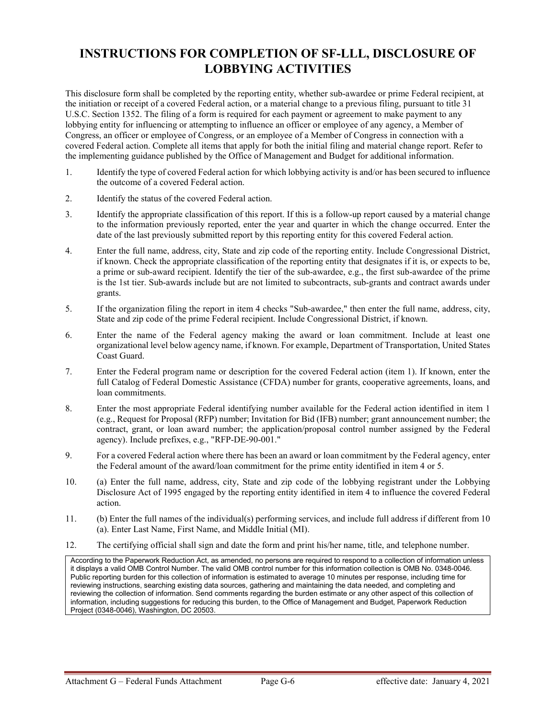# **INSTRUCTIONS FOR COMPLETION OF SF-LLL, DISCLOSURE OF LOBBYING ACTIVITIES**

This disclosure form shall be completed by the reporting entity, whether sub-awardee or prime Federal recipient, at the initiation or receipt of a covered Federal action, or a material change to a previous filing, pursuant to title 31 U.S.C. Section 1352. The filing of a form is required for each payment or agreement to make payment to any lobbying entity for influencing or attempting to influence an officer or employee of any agency, a Member of Congress, an officer or employee of Congress, or an employee of a Member of Congress in connection with a covered Federal action. Complete all items that apply for both the initial filing and material change report. Refer to the implementing guidance published by the Office of Management and Budget for additional information.

- 1. Identify the type of covered Federal action for which lobbying activity is and/or has been secured to influence the outcome of a covered Federal action.
- 2. Identify the status of the covered Federal action.
- 3. Identify the appropriate classification of this report. If this is a follow-up report caused by a material change to the information previously reported, enter the year and quarter in which the change occurred. Enter the date of the last previously submitted report by this reporting entity for this covered Federal action.
- 4. Enter the full name, address, city, State and zip code of the reporting entity. Include Congressional District, if known. Check the appropriate classification of the reporting entity that designates if it is, or expects to be, a prime or sub-award recipient. Identify the tier of the sub-awardee, e.g., the first sub-awardee of the prime is the 1st tier. Sub-awards include but are not limited to subcontracts, sub-grants and contract awards under grants.
- 5. If the organization filing the report in item 4 checks "Sub-awardee," then enter the full name, address, city, State and zip code of the prime Federal recipient. Include Congressional District, if known.
- 6. Enter the name of the Federal agency making the award or loan commitment. Include at least one organizational level below agency name, if known. For example, Department of Transportation, United States Coast Guard.
- 7. Enter the Federal program name or description for the covered Federal action (item 1). If known, enter the full Catalog of Federal Domestic Assistance (CFDA) number for grants, cooperative agreements, loans, and loan commitments.
- 8. Enter the most appropriate Federal identifying number available for the Federal action identified in item 1 (e.g., Request for Proposal (RFP) number; Invitation for Bid (IFB) number; grant announcement number; the contract, grant, or loan award number; the application/proposal control number assigned by the Federal agency). Include prefixes, e.g., "RFP-DE-90-001."
- 9. For a covered Federal action where there has been an award or loan commitment by the Federal agency, enter the Federal amount of the award/loan commitment for the prime entity identified in item 4 or 5.
- 10. (a) Enter the full name, address, city, State and zip code of the lobbying registrant under the Lobbying Disclosure Act of 1995 engaged by the reporting entity identified in item 4 to influence the covered Federal action.
- 11. (b) Enter the full names of the individual(s) performing services, and include full address if different from 10 (a). Enter Last Name, First Name, and Middle Initial (MI).
- 12. The certifying official shall sign and date the form and print his/her name, title, and telephone number.

According to the Paperwork Reduction Act, as amended, no persons are required to respond to a collection of information unless it displays a valid OMB Control Number. The valid OMB control number for this information collection is OMB No. 0348-0046. Public reporting burden for this collection of information is estimated to average 10 minutes per response, including time for reviewing instructions, searching existing data sources, gathering and maintaining the data needed, and completing and reviewing the collection of information. Send comments regarding the burden estimate or any other aspect of this collection of information, including suggestions for reducing this burden, to the Office of Management and Budget, Paperwork Reduction Project (0348-0046), Washington, DC 20503.